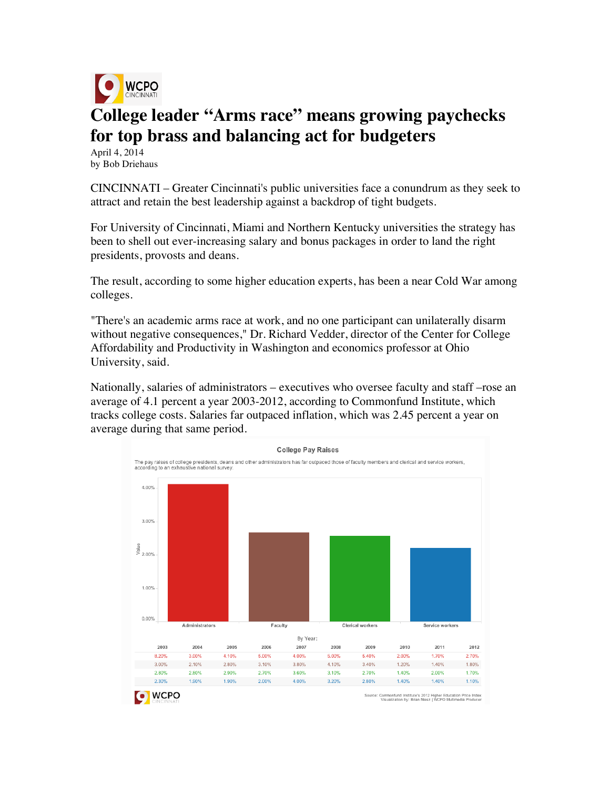

## **College leader "Arms race" means growing paychecks for top brass and balancing act for budgeters**

April 4, 2014 by Bob Driehaus

CINCINNATI – Greater Cincinnati's public universities face a conundrum as they seek to attract and retain the best leadership against a backdrop of tight budgets.

For University of Cincinnati, Miami and Northern Kentucky universities the strategy has been to shell out ever-increasing salary and bonus packages in order to land the right presidents, provosts and deans.

The result, according to some higher education experts, has been a near Cold War among colleges.

"There's an academic arms race at work, and no one participant can unilaterally disarm without negative consequences," Dr. Richard Vedder, director of the Center for College Affordability and Productivity in Washington and economics professor at Ohio University, said.

Nationally, salaries of administrators – executives who oversee faculty and staff –rose an average of 4.1 percent a year 2003-2012, according to Commonfund Institute, which tracks college costs. Salaries far outpaced inflation, which was 2.45 percent a year on average during that same period.

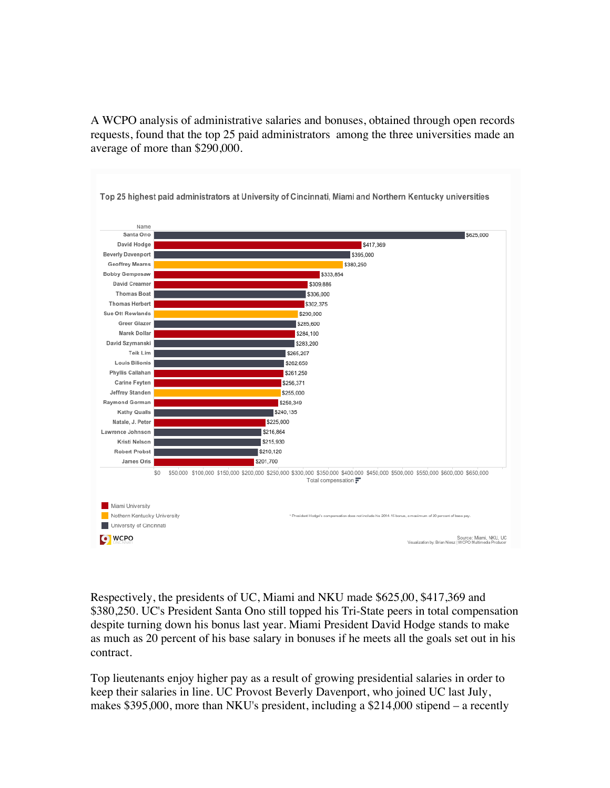A WCPO analysis of administrative salaries and bonuses, obtained through open records requests, found that the top 25 paid administrators among the three universities made an average of more than \$290,000.



Respectively, the presidents of UC, Miami and NKU made \$625,00, \$417,369 and \$380,250. UC's President Santa Ono still topped his Tri-State peers in total compensation despite turning down his bonus last year. Miami President David Hodge stands to make as much as 20 percent of his base salary in bonuses if he meets all the goals set out in his contract.

Top lieutenants enjoy higher pay as a result of growing presidential salaries in order to keep their salaries in line. UC Provost Beverly Davenport, who joined UC last July, makes \$395,000, more than NKU's president, including a \$214,000 stipend – a recently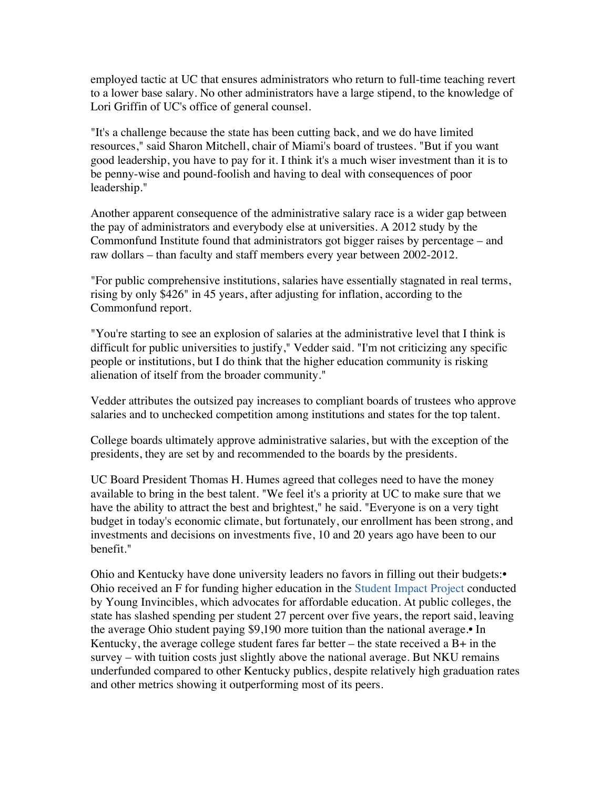employed tactic at UC that ensures administrators who return to full-time teaching revert to a lower base salary. No other administrators have a large stipend, to the knowledge of Lori Griffin of UC's office of general counsel.

"It's a challenge because the state has been cutting back, and we do have limited resources," said Sharon Mitchell, chair of Miami's board of trustees. "But if you want good leadership, you have to pay for it. I think it's a much wiser investment than it is to be penny-wise and pound-foolish and having to deal with consequences of poor leadership."

Another apparent consequence of the administrative salary race is a wider gap between the pay of administrators and everybody else at universities. A 2012 study by the Commonfund Institute found that administrators got bigger raises by percentage – and raw dollars – than faculty and staff members every year between 2002-2012.

"For public comprehensive institutions, salaries have essentially stagnated in real terms, rising by only \$426" in 45 years, after adjusting for inflation, according to the Commonfund report.

"You're starting to see an explosion of salaries at the administrative level that I think is difficult for public universities to justify," Vedder said. "I'm not criticizing any specific people or institutions, but I do think that the higher education community is risking alienation of itself from the broader community."

Vedder attributes the outsized pay increases to compliant boards of trustees who approve salaries and to unchecked competition among institutions and states for the top talent.

College boards ultimately approve administrative salaries, but with the exception of the presidents, they are set by and recommended to the boards by the presidents.

UC Board President Thomas H. Humes agreed that colleges need to have the money available to bring in the best talent. "We feel it's a priority at UC to make sure that we have the ability to attract the best and brightest," he said. "Everyone is on a very tight budget in today's economic climate, but fortunately, our enrollment has been strong, and investments and decisions on investments five, 10 and 20 years ago have been to our benefit."

Ohio and Kentucky have done university leaders no favors in filling out their budgets:• Ohio received an F for funding higher education in the Student Impact Project conducted by Young Invincibles, which advocates for affordable education. At public colleges, the state has slashed spending per student 27 percent over five years, the report said, leaving the average Ohio student paying \$9,190 more tuition than the national average.• In Kentucky, the average college student fares far better – the state received a  $B+$  in the survey – with tuition costs just slightly above the national average. But NKU remains underfunded compared to other Kentucky publics, despite relatively high graduation rates and other metrics showing it outperforming most of its peers.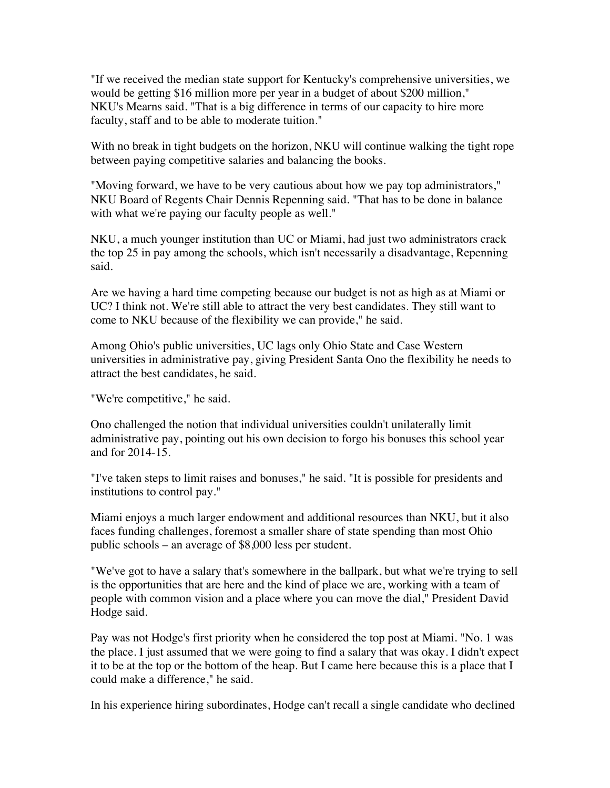"If we received the median state support for Kentucky's comprehensive universities, we would be getting \$16 million more per year in a budget of about \$200 million," NKU's Mearns said. "That is a big difference in terms of our capacity to hire more faculty, staff and to be able to moderate tuition."

With no break in tight budgets on the horizon, NKU will continue walking the tight rope between paying competitive salaries and balancing the books.

"Moving forward, we have to be very cautious about how we pay top administrators," NKU Board of Regents Chair Dennis Repenning said. "That has to be done in balance with what we're paying our faculty people as well."

NKU, a much younger institution than UC or Miami, had just two administrators crack the top 25 in pay among the schools, which isn't necessarily a disadvantage, Repenning said.

Are we having a hard time competing because our budget is not as high as at Miami or UC? I think not. We're still able to attract the very best candidates. They still want to come to NKU because of the flexibility we can provide," he said.

Among Ohio's public universities, UC lags only Ohio State and Case Western universities in administrative pay, giving President Santa Ono the flexibility he needs to attract the best candidates, he said.

"We're competitive," he said.

Ono challenged the notion that individual universities couldn't unilaterally limit administrative pay, pointing out his own decision to forgo his bonuses this school year and for 2014-15.

"I've taken steps to limit raises and bonuses," he said. "It is possible for presidents and institutions to control pay."

Miami enjoys a much larger endowment and additional resources than NKU, but it also faces funding challenges, foremost a smaller share of state spending than most Ohio public schools – an average of \$8,000 less per student.

"We've got to have a salary that's somewhere in the ballpark, but what we're trying to sell is the opportunities that are here and the kind of place we are, working with a team of people with common vision and a place where you can move the dial," President David Hodge said.

Pay was not Hodge's first priority when he considered the top post at Miami. "No. 1 was the place. I just assumed that we were going to find a salary that was okay. I didn't expect it to be at the top or the bottom of the heap. But I came here because this is a place that I could make a difference," he said.

In his experience hiring subordinates, Hodge can't recall a single candidate who declined